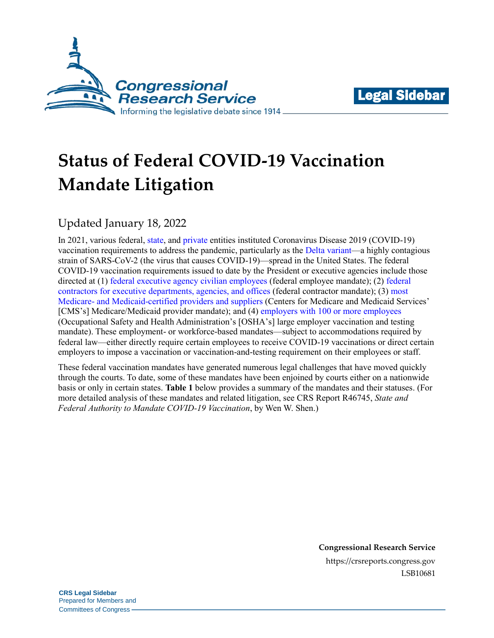



# **Status of Federal COVID-19 Vaccination Mandate Litigation**

## Updated January 18, 2022

In 2021, various federal[, state,](https://www.gov.ca.gov/2021/07/26/california-implements-first-in-the-nation-measures-to-encourage-state-employees-and-health-care-workers-to-get-vaccinated/) and [private](https://www.bloomberg.com/graphics/2021-us-company-employee-vaccine-mandates/) entities instituted Coronavirus Disease 2019 (COVID-19) vaccination requirements to address the pandemic, particularly as the [Delta variant—](https://www.cdc.gov/coronavirus/2019-ncov/variants/delta-variant.html)a highly contagious strain of SARS-CoV-2 (the virus that causes COVID-19)—spread in the United States. The federal COVID-19 vaccination requirements issued to date by the President or executive agencies include those directed at (1) [federal executive agency civilian employees](https://www.federalregister.gov/documents/2021/09/14/2021-19927/requiring-coronavirus-disease-2019-vaccination-for-federal-employees) (federal employee mandate); (2) [federal](https://www.federalregister.gov/documents/2021/09/14/2021-19924/ensuring-adequate-covid-safety-protocols-for-federal-contractors)  [contractors for executive departments, agencies, and offices](https://www.federalregister.gov/documents/2021/09/14/2021-19924/ensuring-adequate-covid-safety-protocols-for-federal-contractors) (federal contractor mandate); (3) [most](https://www.federalregister.gov/documents/2021/11/05/2021-23831/medicare-and-medicaid-programs-omnibus-covid-19-health-care-staff-vaccination)  Medicare- [and Medicaid-certified providers](https://www.federalregister.gov/documents/2021/11/05/2021-23831/medicare-and-medicaid-programs-omnibus-covid-19-health-care-staff-vaccination) and suppliers (Centers for Medicare and Medicaid Services' [CMS's] Medicare/Medicaid provider mandate); and (4) [employers with 100 or more employees](https://www.federalregister.gov/documents/2021/11/05/2021-23643/covid-19-vaccination-and-testing-emergency-temporary-standard) (Occupational Safety and Health Administration's [OSHA's] large employer vaccination and testing mandate). These employment- or workforce-based mandates—subject to accommodations required by federal law—either directly require certain employees to receive COVID-19 vaccinations or direct certain employers to impose a vaccination or vaccination-and-testing requirement on their employees or staff.

These federal vaccination mandates have generated numerous legal challenges that have moved quickly through the courts. To date, some of these mandates have been enjoined by courts either on a nationwide basis or only in certain states. **[Table 1](#page-1-0)** below provides a summary of the mandates and their statuses. (For more detailed analysis of these mandates and related litigation, see CRS Report R46745, *[State and](https://crsreports.congress.gov/product/pdf/R/R46745)  [Federal Authority to Mandate COVID-19 Vaccination](https://crsreports.congress.gov/product/pdf/R/R46745)*, by Wen W. Shen.)

> **Congressional Research Service** https://crsreports.congress.gov LSB10681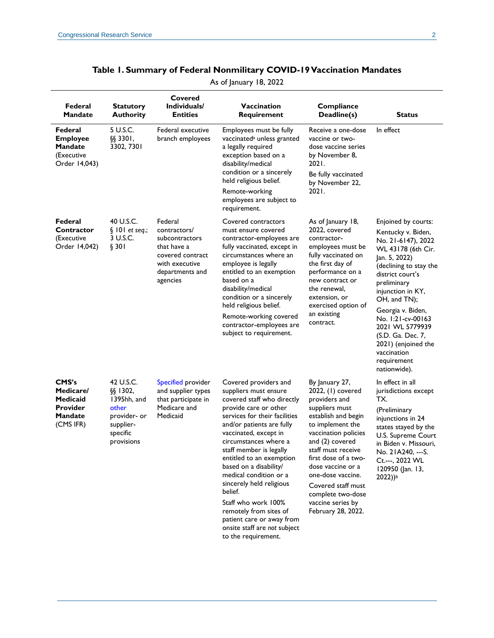<span id="page-1-0"></span>

| Federal<br>Mandate                                                          | <b>Statutory</b><br><b>Authority</b>                                                                    | Covered<br>Individuals/<br><b>Entities</b>                                                                                    | Vaccination<br>Requirement                                                                                                                                                                                                                                                                                                                                                                                                                                                                                   | Compliance<br>Deadline(s)                                                                                                                                                                                                                                                                                                                  | <b>Status</b>                                                                                                                                                                                                                                                                                                                                                   |
|-----------------------------------------------------------------------------|---------------------------------------------------------------------------------------------------------|-------------------------------------------------------------------------------------------------------------------------------|--------------------------------------------------------------------------------------------------------------------------------------------------------------------------------------------------------------------------------------------------------------------------------------------------------------------------------------------------------------------------------------------------------------------------------------------------------------------------------------------------------------|--------------------------------------------------------------------------------------------------------------------------------------------------------------------------------------------------------------------------------------------------------------------------------------------------------------------------------------------|-----------------------------------------------------------------------------------------------------------------------------------------------------------------------------------------------------------------------------------------------------------------------------------------------------------------------------------------------------------------|
| Federal<br><b>Employee</b><br><b>Mandate</b><br>(Executive<br>Order 14,043) | 5 U.S.C.<br>§§ 3301,<br>3302, 7301                                                                      | Federal executive<br>branch employees                                                                                         | Employees must be fully<br>vaccinated <sup>a</sup> unless granted<br>a legally required<br>exception based on a<br>disability/medical<br>condition or a sincerely<br>held religious belief.<br>Remote-working<br>employees are subject to<br>requirement.                                                                                                                                                                                                                                                    | Receive a one-dose<br>vaccine or two-<br>dose vaccine series<br>by November 8,<br>2021.<br>Be fully vaccinated<br>by November 22,<br>2021.                                                                                                                                                                                                 | In effect                                                                                                                                                                                                                                                                                                                                                       |
| Federal<br>Contractor<br>(Executive<br>Order 14,042)                        | 40 U.S.C.<br>$§$ 101 et seq.;<br>3 U.S.C.<br>§ 301                                                      | Federal<br>contractors/<br>subcontractors<br>that have a<br>covered contract<br>with executive<br>departments and<br>agencies | Covered contractors<br>must ensure covered<br>contractor-employees are<br>fully vaccinated, except in<br>circumstances where an<br>employee is legally<br>entitled to an exemption<br>based on a<br>disability/medical<br>condition or a sincerely<br>held religious belief.<br>Remote-working covered<br>contractor-employees are<br>subject to requirement.                                                                                                                                                | As of January 18,<br>2022, covered<br>contractor-<br>employees must be<br>fully vaccinated on<br>the first day of<br>performance on a<br>new contract or<br>the renewal,<br>extension, or<br>exercised option of<br>an existing<br>contract.                                                                                               | Enjoined by courts:<br>Kentucky v. Biden,<br>No. 21-6147), 2022<br>WL 43178 (6th Cir.<br>Jan. 5, 2022)<br>(declining to stay the<br>district court's<br>preliminary<br>injunction in KY,<br>OH, and TN);<br>Georgia v. Biden,<br>No. 1:21-cv-00163<br>2021 WL 5779939<br>(S.D. Ga. Dec. 7,<br>2021) (enjoined the<br>vaccination<br>requirement<br>nationwide). |
| CMS's<br>Medicare/<br>Medicaid<br><b>Provider</b><br>Mandate<br>(CMS IFR)   | 42 U.S.C.<br>$§$ § 1302,<br>1395hh, and<br>other<br>provider- or<br>supplier-<br>specific<br>provisions | Specified provider<br>and supplier types<br>that participate in<br>Medicare and<br>Medicaid                                   | Covered providers and<br>suppliers must ensure<br>covered staff who directly<br>provide care or other<br>services for their facilities<br>and/or patients are fully<br>vaccinated, except in<br>circumstances where a<br>staff member is legally<br>entitled to an exemption<br>based on a disability/<br>medical condition or a<br>sincerely held religious<br>belief.<br>Staff who work 100%<br>remotely from sites of<br>patient care or away from<br>onsite staff are not subject<br>to the requirement. | By January 27,<br>2022, (1) covered<br>providers and<br>suppliers must<br>establish and begin<br>to implement the<br>vaccination policies<br>and (2) covered<br>staff must receive<br>first dose of a two-<br>dose vaccine or a<br>one-dose vaccine.<br>Covered staff must<br>complete two-dose<br>vaccine series by<br>February 28, 2022. | In effect in all<br>jurisdictions except<br>TX.<br>(Preliminary<br>injunctions in 24<br>states stayed by the<br>U.S. Supreme Court<br>in Biden v. Missouri.<br>No. 21A240, --- S.<br>Ct.---, 2022 WL<br>120950 (Jan. 13,<br>2022))b                                                                                                                             |

#### **Table 1. Summary of Federal Nonmilitary COVID-19 Vaccination Mandates**

As of January 18, 2022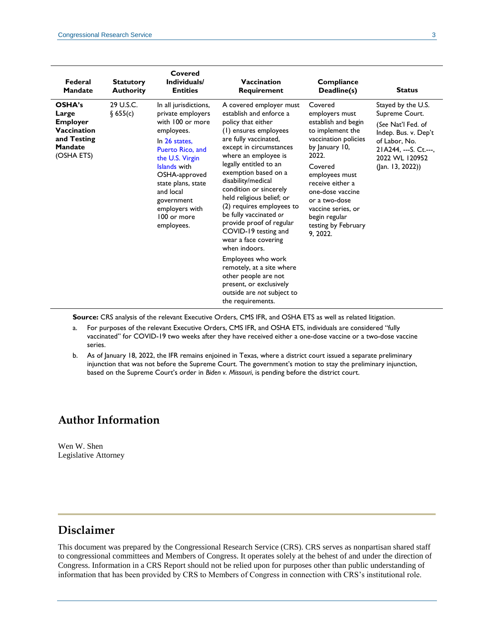| Federal<br><b>Mandate</b>                                                                        | <b>Statutory</b><br><b>Authority</b> | Covered<br>Individuals/<br><b>Entities</b>                                                                                                                                                                                                                            | Vaccination<br>Requirement                                                                                                                                                                                                                                                                                                                                                                                                                                                                                                                                                                                                | Compliance<br>Deadline(s)                                                                                                                                                                                                                                                               | <b>Status</b>                                                                                                                                                       |
|--------------------------------------------------------------------------------------------------|--------------------------------------|-----------------------------------------------------------------------------------------------------------------------------------------------------------------------------------------------------------------------------------------------------------------------|---------------------------------------------------------------------------------------------------------------------------------------------------------------------------------------------------------------------------------------------------------------------------------------------------------------------------------------------------------------------------------------------------------------------------------------------------------------------------------------------------------------------------------------------------------------------------------------------------------------------------|-----------------------------------------------------------------------------------------------------------------------------------------------------------------------------------------------------------------------------------------------------------------------------------------|---------------------------------------------------------------------------------------------------------------------------------------------------------------------|
| OSHA's<br>Large<br><b>Employer</b><br>Vaccination<br>and Testing<br><b>Mandate</b><br>(OSHA ETS) | 29 U.S.C.<br>§ 655(c)                | In all jurisdictions,<br>private employers<br>with 100 or more<br>employees.<br>In 26 states,<br>Puerto Rico, and<br>the U.S. Virgin<br>Islands with<br>OSHA-approved<br>state plans, state<br>and local<br>government<br>employers with<br>100 or more<br>employees. | A covered employer must<br>establish and enforce a<br>policy that either<br>(1) ensures employees<br>are fully vaccinated,<br>except in circumstances<br>where an employee is<br>legally entitled to an<br>exemption based on a<br>disability/medical<br>condition or sincerely<br>held religious belief; or<br>(2) requires employees to<br>be fully vaccinated or<br>provide proof of regular<br>COVID-19 testing and<br>wear a face covering<br>when indoors.<br>Employees who work<br>remotely, at a site where<br>other people are not<br>present, or exclusively<br>outside are not subject to<br>the requirements. | Covered<br>employers must<br>establish and begin<br>to implement the<br>vaccination policies<br>by January 10,<br>2022.<br>Covered<br>employees must<br>receive either a<br>one-dose vaccine<br>or a two-dose<br>vaccine series, or<br>begin regular<br>testing by February<br>9, 2022. | Stayed by the U.S.<br>Supreme Court.<br>(See Nat'l Fed. of<br>Indep. Bus. v. Dep't<br>of Labor, No.<br>21A244, --- S. Ct.---,<br>2022 WL 120952<br>(Jan. 13, 2022)) |

**Source:** CRS analysis of the relevant Executive Orders, CMS IFR, and OSHA ETS as well as related litigation.

- <span id="page-2-0"></span>a. For purposes of the relevant Executive Orders, CMS IFR, and OSHA ETS, individuals are considered "fully vaccinated" for COVID-19 two weeks after they have received either a one-dose vaccine or a two-dose vaccine series.
- <span id="page-2-1"></span>b. As of January 18, 2022, the IFR remains enjoined in Texas, where a district court issued a separate preliminary injunction that was not before the Supreme Court. The government's motion to stay the preliminary injunction, based on the Supreme Court's order in *Biden v. Missouri*, is pending before the district court.

#### **Author Information**

Wen W. Shen Legislative Attorney

### **Disclaimer**

This document was prepared by the Congressional Research Service (CRS). CRS serves as nonpartisan shared staff to congressional committees and Members of Congress. It operates solely at the behest of and under the direction of Congress. Information in a CRS Report should not be relied upon for purposes other than public understanding of information that has been provided by CRS to Members of Congress in connection with CRS's institutional role.